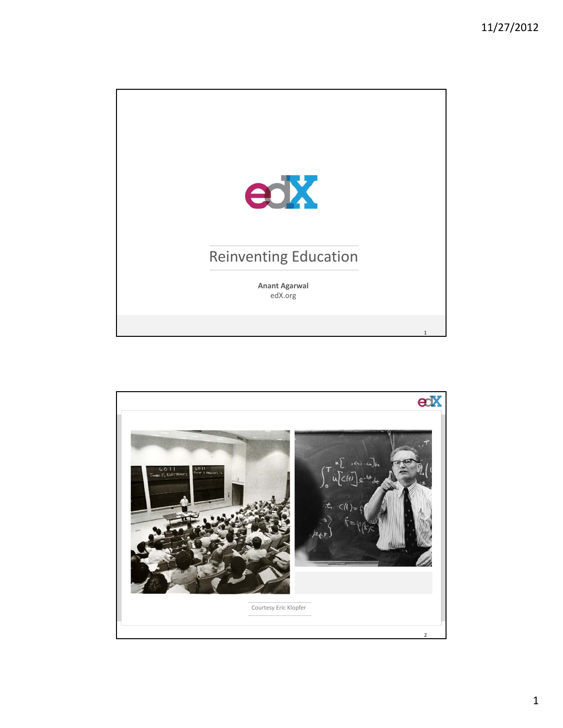

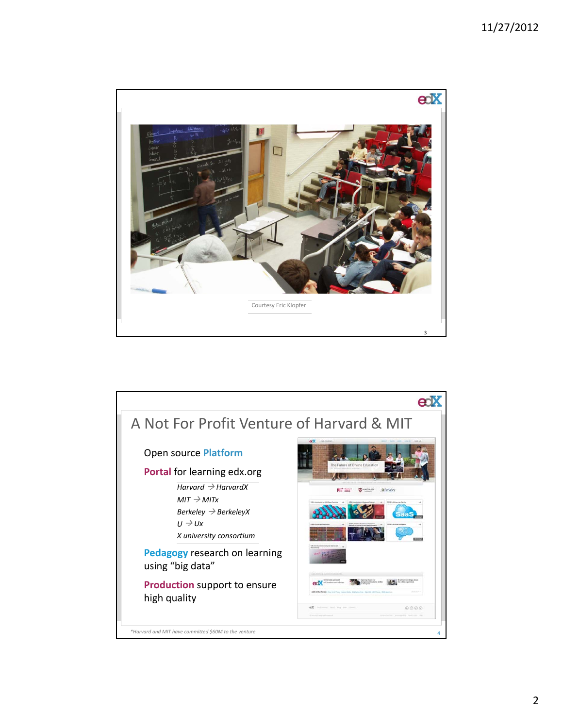## 11/27/2012



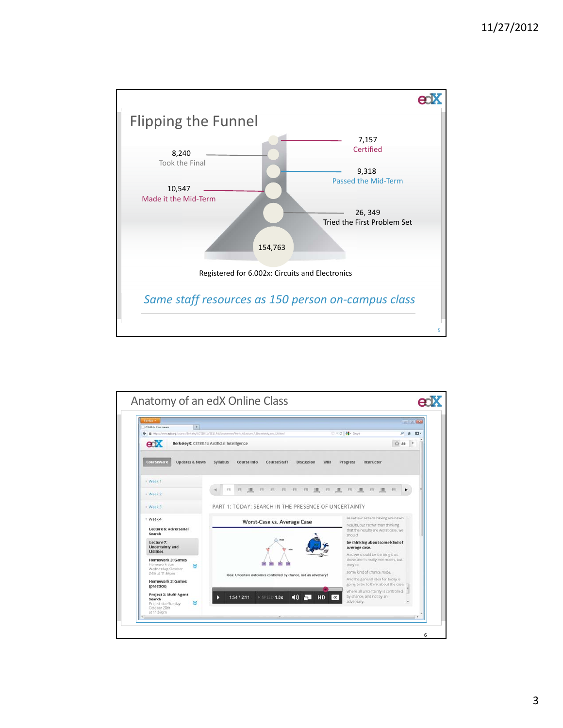

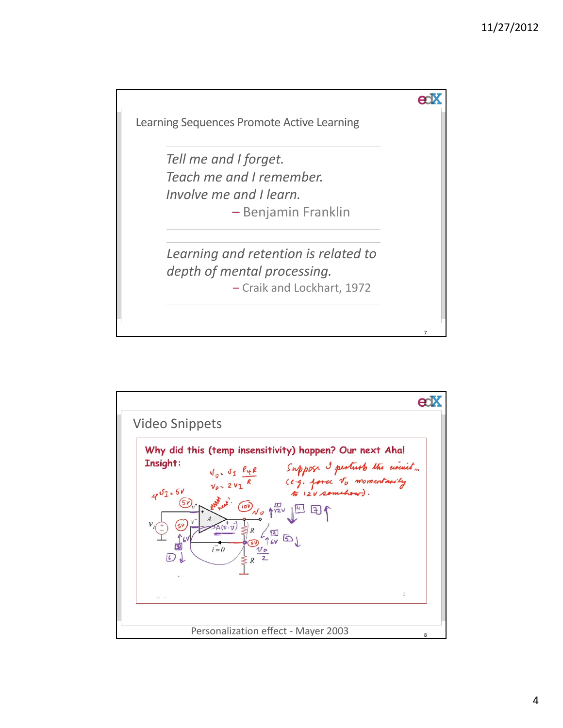

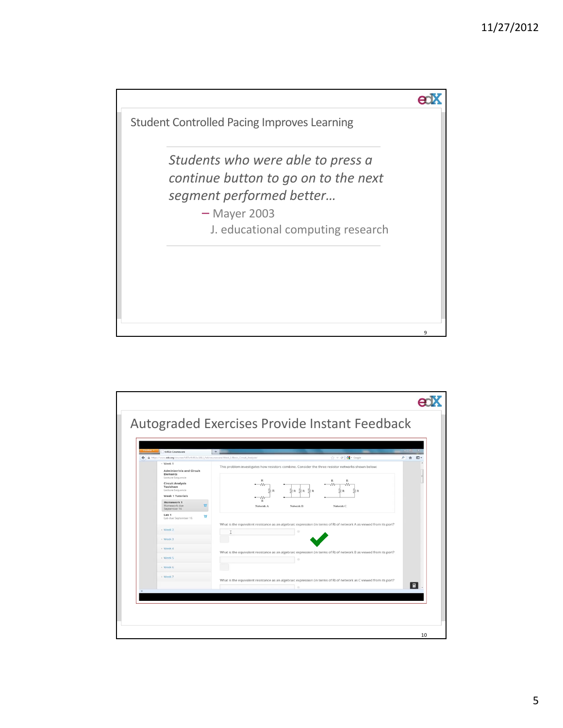

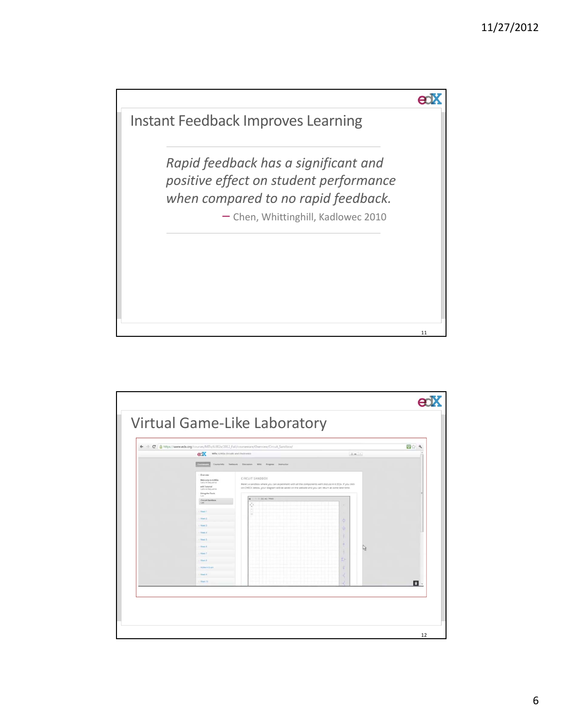

| ← → C A https://www.edx.org/courses/MITx/6.002x/2012_Fall/courseware/Overview/Circuit Sandbox/<br>enX<br>MITK: 6.002x CIrcuits and Electronics<br>$0.88 - 1$                                                                                      |                                                                                                                                                                                                                                                         |                                                     | 四立<br>A.         |
|---------------------------------------------------------------------------------------------------------------------------------------------------------------------------------------------------------------------------------------------------|---------------------------------------------------------------------------------------------------------------------------------------------------------------------------------------------------------------------------------------------------------|-----------------------------------------------------|------------------|
| Course Info Termonk<br>Overview<br>Welcome to 6.002x                                                                                                                                                                                              | Discussion WAI Progress<br>Instructor<br>CIRCUIT SANDBOX                                                                                                                                                                                                |                                                     |                  |
| edXTutorial<br>Lecture Selections<br>Using the Tools<br>Lan.<br>Circuit Sandbox<br><b>Xan</b><br>Vierk !<br>Wank 2<br><b>Yout 3</b><br><b>Young a</b><br>Neck S<br><b>Wend</b><br>. Visak 7<br>Ways 2<br>Mitterm Eram<br><b>Week 9</b><br>Week 10 | Here's a sandbox where you can experiment with all the components we'll discuss in 6.002x. If you click<br>on CHECK below, your diagram will be saved on the website and you can return at some later time.<br><b>IL IL DC AD TRAN</b><br>l m<br>o<br>a | -<br>Ф<br><b>ID</b><br>۰<br>a<br>$\Rightarrow$<br>후 | $\blacksquare$ . |